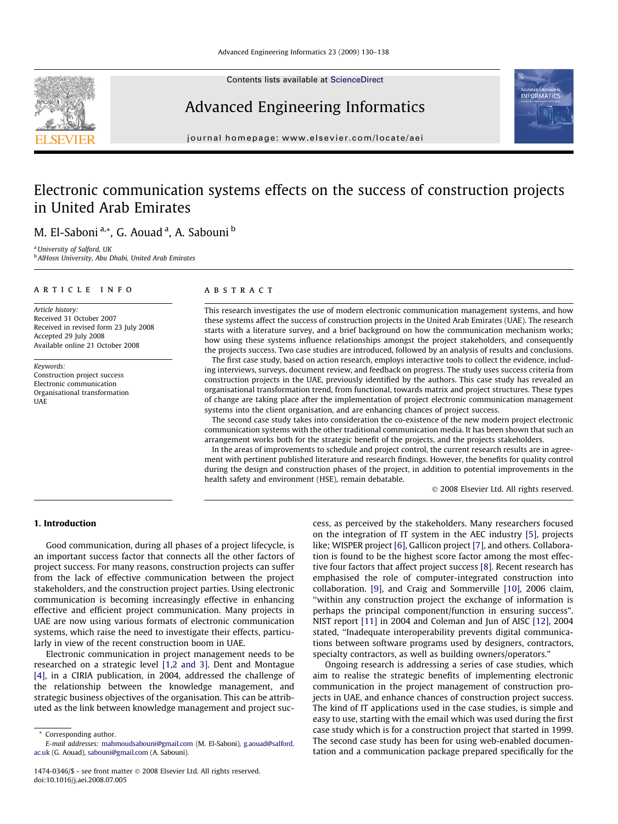Contents lists available at [ScienceDirect](http://www.sciencedirect.com/science/journal/14740346)

# Advanced Engineering Informatics



## Electronic communication systems effects on the success of construction projects in United Arab Emirates

### M. El-Saboni <sup>a,</sup>\*, G. Aouad <sup>a</sup>, A. Sabouni <sup>b</sup>

<sup>a</sup> University of Salford, UK

<sup>b</sup> AlHosn University, Abu Dhabi, United Arab Emirates

#### article info

Article history: Received 31 October 2007 Received in revised form 23 July 2008 Accepted 29 July 2008 Available online 21 October 2008

Keywords: Construction project success Electronic communication Organisational transformation **IIAE** 

#### **ABSTRACT**

This research investigates the use of modern electronic communication management systems, and how these systems affect the success of construction projects in the United Arab Emirates (UAE). The research starts with a literature survey, and a brief background on how the communication mechanism works; how using these systems influence relationships amongst the project stakeholders, and consequently the projects success. Two case studies are introduced, followed by an analysis of results and conclusions.

The first case study, based on action research, employs interactive tools to collect the evidence, including interviews, surveys, document review, and feedback on progress. The study uses success criteria from construction projects in the UAE, previously identified by the authors. This case study has revealed an organisational transformation trend, from functional, towards matrix and project structures. These types of change are taking place after the implementation of project electronic communication management systems into the client organisation, and are enhancing chances of project success.

The second case study takes into consideration the co-existence of the new modern project electronic communication systems with the other traditional communication media. It has been shown that such an arrangement works both for the strategic benefit of the projects, and the projects stakeholders.

In the areas of improvements to schedule and project control, the current research results are in agreement with pertinent published literature and research findings. However, the benefits for quality control during the design and construction phases of the project, in addition to potential improvements in the health safety and environment (HSE), remain debatable.

- 2008 Elsevier Ltd. All rights reserved.

**INFORMATICS** 

#### 1. Introduction

Good communication, during all phases of a project lifecycle, is an important success factor that connects all the other factors of project success. For many reasons, construction projects can suffer from the lack of effective communication between the project stakeholders, and the construction project parties. Using electronic communication is becoming increasingly effective in enhancing effective and efficient project communication. Many projects in UAE are now using various formats of electronic communication systems, which raise the need to investigate their effects, particularly in view of the recent construction boom in UAE.

Electronic communication in project management needs to be researched on a strategic level [\[1,2 and 3\]](#page--1-0). Dent and Montague [\[4\]](#page--1-0), in a CIRIA publication, in 2004, addressed the challenge of the relationship between the knowledge management, and strategic business objectives of the organisation. This can be attributed as the link between knowledge management and project suc-

 $*$  Corresponding author.

cess, as perceived by the stakeholders. Many researchers focused on the integration of IT system in the AEC industry [\[5\]](#page--1-0), projects like; WISPER project [\[6\],](#page--1-0) Gallicon project [\[7\]](#page--1-0), and others. Collaboration is found to be the highest score factor among the most effective four factors that affect project success [\[8\].](#page--1-0) Recent research has emphasised the role of computer-integrated construction into collaboration. [\[9\]](#page--1-0), and Craig and Sommerville [\[10\]](#page--1-0), 2006 claim, ''within any construction project the exchange of information is perhaps the principal component/function in ensuring success". NIST report [\[11\]](#page--1-0) in 2004 and Coleman and Jun of AISC [\[12\]](#page--1-0), 2004 stated, ''Inadequate interoperability prevents digital communications between software programs used by designers, contractors, specialty contractors, as well as building owners/operators."

Ongoing research is addressing a series of case studies, which aim to realise the strategic benefits of implementing electronic communication in the project management of construction projects in UAE, and enhance chances of construction project success. The kind of IT applications used in the case studies, is simple and easy to use, starting with the email which was used during the first case study which is for a construction project that started in 1999. The second case study has been for using web-enabled documentation and a communication package prepared specifically for the



E-mail addresses: [mahmoudsabouni@gmail.com](mailto:mahmoudsabouni@gmail.com) (M. El-Saboni), [g.aouad@salford.](mailto:g.aouad@salford.ac.uk) [ac.uk](mailto:g.aouad@salford.ac.uk) (G. Aouad), [sabouni@gmail.com](mailto:sabouni@gmail.com) (A. Sabouni).

<sup>1474-0346/\$ -</sup> see front matter @ 2008 Elsevier Ltd. All rights reserved. doi:10.1016/j.aei.2008.07.005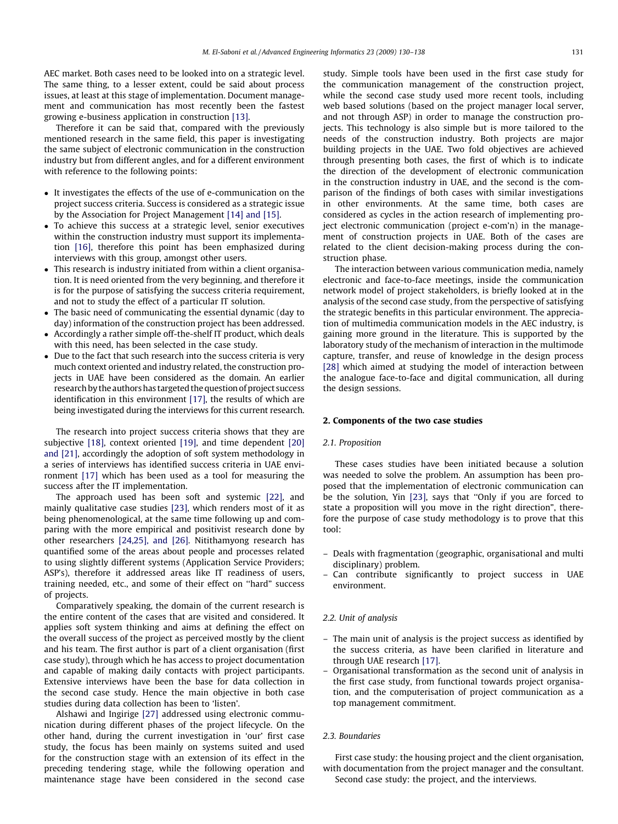AEC market. Both cases need to be looked into on a strategic level. The same thing, to a lesser extent, could be said about process issues, at least at this stage of implementation. Document management and communication has most recently been the fastest growing e-business application in construction [\[13\]](#page--1-0).

Therefore it can be said that, compared with the previously mentioned research in the same field, this paper is investigating the same subject of electronic communication in the construction industry but from different angles, and for a different environment with reference to the following points:

- It investigates the effects of the use of e-communication on the project success criteria. Success is considered as a strategic issue by the Association for Project Management [\[14\] and \[15\]](#page--1-0).
- To achieve this success at a strategic level, senior executives within the construction industry must support its implementation [\[16\],](#page--1-0) therefore this point has been emphasized during interviews with this group, amongst other users.
- This research is industry initiated from within a client organisation. It is need oriented from the very beginning, and therefore it is for the purpose of satisfying the success criteria requirement, and not to study the effect of a particular IT solution.
- $\bullet$  The basic need of communicating the essential dynamic (day to day) information of the construction project has been addressed.
- $\bullet$  Accordingly a rather simple off-the-shelf IT product, which deals with this need, has been selected in the case study.
- Due to the fact that such research into the success criteria is very much context oriented and industry related, the construction projects in UAE have been considered as the domain. An earlier research by the authors has targeted the question of project success identification in this environment [\[17\],](#page--1-0) the results of which are being investigated during the interviews for this current research.

The research into project success criteria shows that they are subjective [\[18\]](#page--1-0), context oriented [\[19\]](#page--1-0), and time dependent [\[20\]](#page--1-0) [and \[21\],](#page--1-0) accordingly the adoption of soft system methodology in a series of interviews has identified success criteria in UAE environment [\[17\]](#page--1-0) which has been used as a tool for measuring the success after the IT implementation.

The approach used has been soft and systemic [\[22\]](#page--1-0), and mainly qualitative case studies [\[23\],](#page--1-0) which renders most of it as being phenomenological, at the same time following up and comparing with the more empirical and positivist research done by other researchers [\[24,25\], and \[26\]](#page--1-0). Nitithamyong research has quantified some of the areas about people and processes related to using slightly different systems (Application Service Providers; ASP's), therefore it addressed areas like IT readiness of users, training needed, etc., and some of their effect on ''hard" success of projects.

Comparatively speaking, the domain of the current research is the entire content of the cases that are visited and considered. It applies soft system thinking and aims at defining the effect on the overall success of the project as perceived mostly by the client and his team. The first author is part of a client organisation (first case study), through which he has access to project documentation and capable of making daily contacts with project participants. Extensive interviews have been the base for data collection in the second case study. Hence the main objective in both case studies during data collection has been to 'listen'.

Alshawi and Ingirige [\[27\]](#page--1-0) addressed using electronic communication during different phases of the project lifecycle. On the other hand, during the current investigation in 'our' first case study, the focus has been mainly on systems suited and used for the construction stage with an extension of its effect in the preceding tendering stage, while the following operation and maintenance stage have been considered in the second case study. Simple tools have been used in the first case study for the communication management of the construction project, while the second case study used more recent tools, including web based solutions (based on the project manager local server, and not through ASP) in order to manage the construction projects. This technology is also simple but is more tailored to the needs of the construction industry. Both projects are major building projects in the UAE. Two fold objectives are achieved through presenting both cases, the first of which is to indicate the direction of the development of electronic communication in the construction industry in UAE, and the second is the comparison of the findings of both cases with similar investigations in other environments. At the same time, both cases are considered as cycles in the action research of implementing project electronic communication (project e-com'n) in the management of construction projects in UAE. Both of the cases are related to the client decision-making process during the construction phase.

The interaction between various communication media, namely electronic and face-to-face meetings, inside the communication network model of project stakeholders, is briefly looked at in the analysis of the second case study, from the perspective of satisfying the strategic benefits in this particular environment. The appreciation of multimedia communication models in the AEC industry, is gaining more ground in the literature. This is supported by the laboratory study of the mechanism of interaction in the multimode capture, transfer, and reuse of knowledge in the design process [\[28\]](#page--1-0) which aimed at studying the model of interaction between the analogue face-to-face and digital communication, all during the design sessions.

#### 2. Components of the two case studies

#### 2.1. Proposition

These cases studies have been initiated because a solution was needed to solve the problem. An assumption has been proposed that the implementation of electronic communication can be the solution, Yin [\[23\],](#page--1-0) says that ''Only if you are forced to state a proposition will you move in the right direction", therefore the purpose of case study methodology is to prove that this tool:

- Deals with fragmentation (geographic, organisational and multi disciplinary) problem.
- Can contribute significantly to project success in UAE environment.

#### 2.2. Unit of analysis

- The main unit of analysis is the project success as identified by the success criteria, as have been clarified in literature and through UAE research [\[17\].](#page--1-0)
- Organisational transformation as the second unit of analysis in the first case study, from functional towards project organisation, and the computerisation of project communication as a top management commitment.

#### 2.3. Boundaries

First case study: the housing project and the client organisation, with documentation from the project manager and the consultant. Second case study: the project, and the interviews.